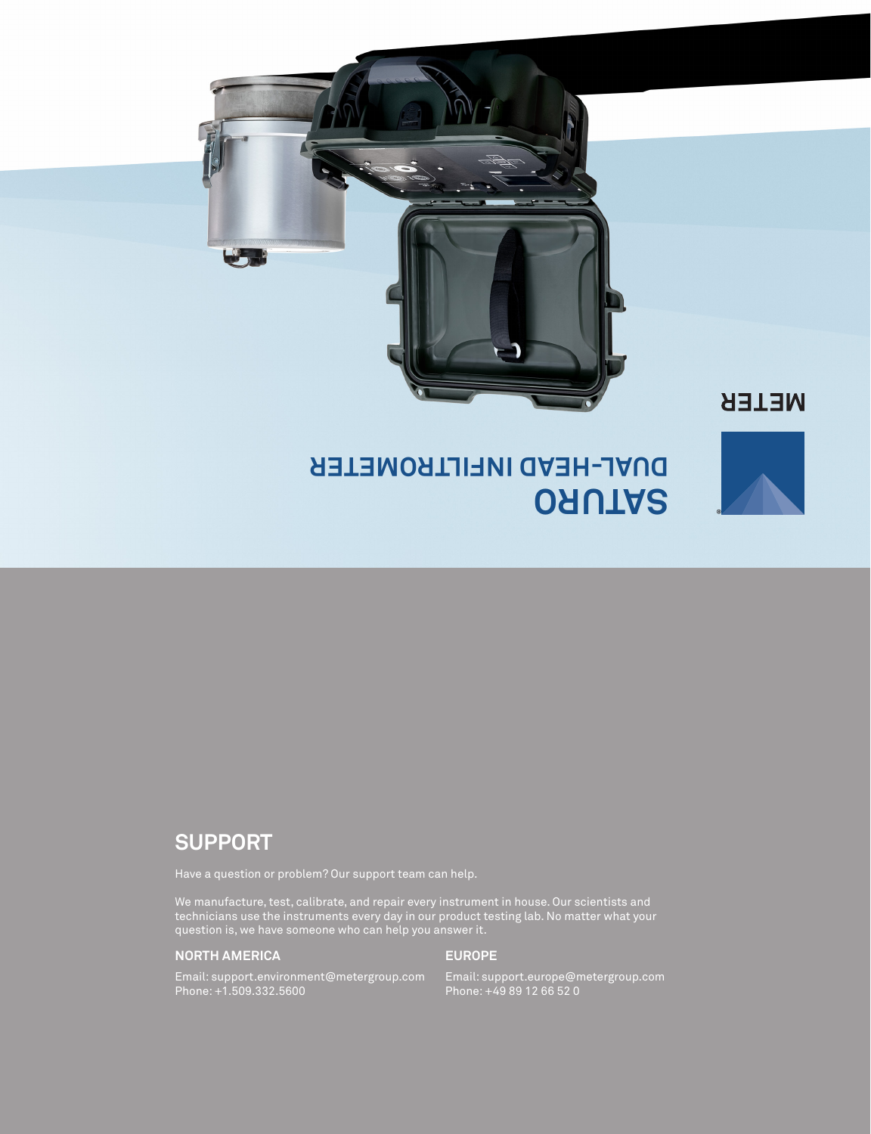

## **SUPPORT**

We manufacture, test, calibrate, and repair every instrument in house. Our scientists and technicians use the instruments every day in our product testing lab. No matter what your question is, we have someone who can help you answer it.

### **NORTH AMERICA**

#### **EUROPE**

Email: support.environment@metergroup.com Phone: +1.509.332.5600

Email: support.europe@metergroup.com Phone: +49 89 12 66 52 0